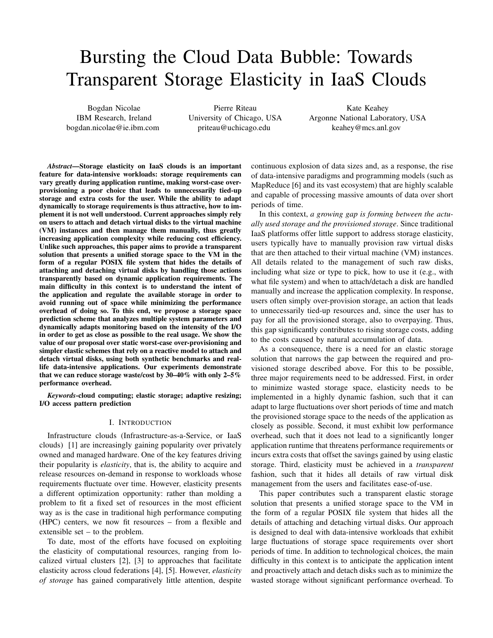# Bursting the Cloud Data Bubble: Towards Transparent Storage Elasticity in IaaS Clouds

Bogdan Nicolae IBM Research, Ireland bogdan.nicolae@ie.ibm.com

Pierre Riteau University of Chicago, USA priteau@uchicago.edu

Kate Keahey Argonne National Laboratory, USA keahey@mcs.anl.gov

*Abstract*—Storage elasticity on IaaS clouds is an important feature for data-intensive workloads: storage requirements can vary greatly during application runtime, making worst-case overprovisioning a poor choice that leads to unnecessarily tied-up storage and extra costs for the user. While the ability to adapt dynamically to storage requirements is thus attractive, how to implement it is not well understood. Current approaches simply rely on users to attach and detach virtual disks to the virtual machine (VM) instances and then manage them manually, thus greatly increasing application complexity while reducing cost efficiency. Unlike such approaches, this paper aims to provide a transparent solution that presents a unified storage space to the VM in the form of a regular POSIX file system that hides the details of attaching and detaching virtual disks by handling those actions transparently based on dynamic application requirements. The main difficulty in this context is to understand the intent of the application and regulate the available storage in order to avoid running out of space while minimizing the performance overhead of doing so. To this end, we propose a storage space prediction scheme that analyzes multiple system parameters and dynamically adapts monitoring based on the intensity of the I/O in order to get as close as possible to the real usage. We show the value of our proposal over static worst-case over-provisioning and simpler elastic schemes that rely on a reactive model to attach and detach virtual disks, using both synthetic benchmarks and reallife data-intensive applications. Our experiments demonstrate that we can reduce storage waste/cost by 30–40% with only 2–5% performance overhead.

*Keywords*-cloud computing; elastic storage; adaptive resizing; I/O access pattern prediction

# I. INTRODUCTION

Infrastructure clouds (Infrastructure-as-a-Service, or IaaS clouds) [1] are increasingly gaining popularity over privately owned and managed hardware. One of the key features driving their popularity is *elasticity*, that is, the ability to acquire and release resources on-demand in response to workloads whose requirements fluctuate over time. However, elasticity presents a different optimization opportunity: rather than molding a problem to fit a fixed set of resources in the most efficient way as is the case in traditional high performance computing (HPC) centers, we now fit resources – from a flexible and extensible set – to the problem.

To date, most of the efforts have focused on exploiting the elasticity of computational resources, ranging from localized virtual clusters [2], [3] to approaches that facilitate elasticity across cloud federations [4], [5]. However, *elasticity of storage* has gained comparatively little attention, despite

continuous explosion of data sizes and, as a response, the rise of data-intensive paradigms and programming models (such as MapReduce [6] and its vast ecosystem) that are highly scalable and capable of processing massive amounts of data over short periods of time.

In this context, *a growing gap is forming between the actually used storage and the provisioned storage*. Since traditional IaaS platforms offer little support to address storage elasticity, users typically have to manually provision raw virtual disks that are then attached to their virtual machine (VM) instances. All details related to the management of such raw disks, including what size or type to pick, how to use it (e.g., with what file system) and when to attach/detach a disk are handled manually and increase the application complexity. In response, users often simply over-provision storage, an action that leads to unnecessarily tied-up resources and, since the user has to pay for all the provisioned storage, also to overpaying. Thus, this gap significantly contributes to rising storage costs, adding to the costs caused by natural accumulation of data.

As a consequence, there is a need for an elastic storage solution that narrows the gap between the required and provisioned storage described above. For this to be possible, three major requirements need to be addressed. First, in order to minimize wasted storage space, elasticity needs to be implemented in a highly dynamic fashion, such that it can adapt to large fluctuations over short periods of time and match the provisioned storage space to the needs of the application as closely as possible. Second, it must exhibit low performance overhead, such that it does not lead to a significantly longer application runtime that threatens performance requirements or incurs extra costs that offset the savings gained by using elastic storage. Third, elasticity must be achieved in a *transparent* fashion, such that it hides all details of raw virtual disk management from the users and facilitates ease-of-use.

This paper contributes such a transparent elastic storage solution that presents a unified storage space to the VM in the form of a regular POSIX file system that hides all the details of attaching and detaching virtual disks. Our approach is designed to deal with data-intensive workloads that exhibit large fluctuations of storage space requirements over short periods of time. In addition to technological choices, the main difficulty in this context is to anticipate the application intent and proactively attach and detach disks such as to minimize the wasted storage without significant performance overhead. To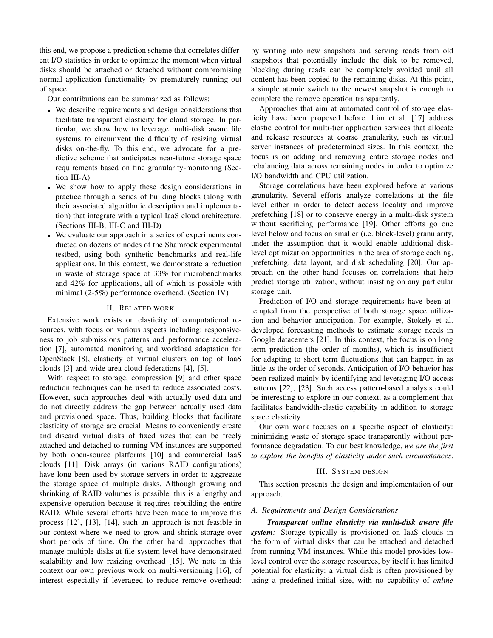this end, we propose a prediction scheme that correlates different I/O statistics in order to optimize the moment when virtual disks should be attached or detached without compromising normal application functionality by prematurely running out of space.

Our contributions can be summarized as follows:

- We describe requirements and design considerations that facilitate transparent elasticity for cloud storage. In particular, we show how to leverage multi-disk aware file systems to circumvent the difficulty of resizing virtual disks on-the-fly. To this end, we advocate for a predictive scheme that anticipates near-future storage space requirements based on fine granularity-monitoring (Section III-A)
- We show how to apply these design considerations in practice through a series of building blocks (along with their associated algorithmic description and implementation) that integrate with a typical IaaS cloud architecture. (Sections III-B, III-C and III-D)
- We evaluate our approach in a series of experiments conducted on dozens of nodes of the Shamrock experimental testbed, using both synthetic benchmarks and real-life applications. In this context, we demonstrate a reduction in waste of storage space of 33% for microbenchmarks and 42% for applications, all of which is possible with minimal (2-5%) performance overhead. (Section IV)

## II. RELATED WORK

Extensive work exists on elasticity of computational resources, with focus on various aspects including: responsiveness to job submissions patterns and performance acceleration [7], automated monitoring and workload adaptation for OpenStack [8], elasticity of virtual clusters on top of IaaS clouds [3] and wide area cloud federations [4], [5].

With respect to storage, compression [9] and other space reduction techniques can be used to reduce associated costs. However, such approaches deal with actually used data and do not directly address the gap between actually used data and provisioned space. Thus, building blocks that facilitate elasticity of storage are crucial. Means to conveniently create and discard virtual disks of fixed sizes that can be freely attached and detached to running VM instances are supported by both open-source platforms [10] and commercial IaaS clouds [11]. Disk arrays (in various RAID configurations) have long been used by storage servers in order to aggregate the storage space of multiple disks. Although growing and shrinking of RAID volumes is possible, this is a lengthy and expensive operation because it requires rebuilding the entire RAID. While several efforts have been made to improve this process [12], [13], [14], such an approach is not feasible in our context where we need to grow and shrink storage over short periods of time. On the other hand, approaches that manage multiple disks at file system level have demonstrated scalability and low resizing overhead [15]. We note in this context our own previous work on multi-versioning [16], of interest especially if leveraged to reduce remove overhead:

by writing into new snapshots and serving reads from old snapshots that potentially include the disk to be removed, blocking during reads can be completely avoided until all content has been copied to the remaining disks. At this point, a simple atomic switch to the newest snapshot is enough to complete the remove operation transparently.

Approaches that aim at automated control of storage elasticity have been proposed before. Lim et al. [17] address elastic control for multi-tier application services that allocate and release resources at coarse granularity, such as virtual server instances of predetermined sizes. In this context, the focus is on adding and removing entire storage nodes and rebalancing data across remaining nodes in order to optimize I/O bandwidth and CPU utilization.

Storage correlations have been explored before at various granularity. Several efforts analyze correlations at the file level either in order to detect access locality and improve prefetching [18] or to conserve energy in a multi-disk system without sacrificing performance [19]. Other efforts go one level below and focus on smaller (i.e. block-level) granularity, under the assumption that it would enable additional disklevel optimization opportunities in the area of storage caching, prefetching, data layout, and disk scheduling [20]. Our approach on the other hand focuses on correlations that help predict storage utilization, without insisting on any particular storage unit.

Prediction of I/O and storage requirements have been attempted from the perspective of both storage space utilization and behavior anticipation. For example, Stokely et al. developed forecasting methods to estimate storage needs in Google datacenters [21]. In this context, the focus is on long term prediction (the order of months), which is insufficient for adapting to short term fluctuations that can happen in as little as the order of seconds. Anticipation of I/O behavior has been realized mainly by identifying and leveraging I/O access patterns [22], [23]. Such access pattern-based analysis could be interesting to explore in our context, as a complement that facilitates bandwidth-elastic capability in addition to storage space elasticity.

Our own work focuses on a specific aspect of elasticity: minimizing waste of storage space transparently without performance degradation. To our best knowledge, *we are the first to explore the benefits of elasticity under such circumstances*.

## III. SYSTEM DESIGN

This section presents the design and implementation of our approach.

## *A. Requirements and Design Considerations*

*Transparent online elasticity via multi-disk aware file system:* Storage typically is provisioned on IaaS clouds in the form of virtual disks that can be attached and detached from running VM instances. While this model provides lowlevel control over the storage resources, by itself it has limited potential for elasticity: a virtual disk is often provisioned by using a predefined initial size, with no capability of *online*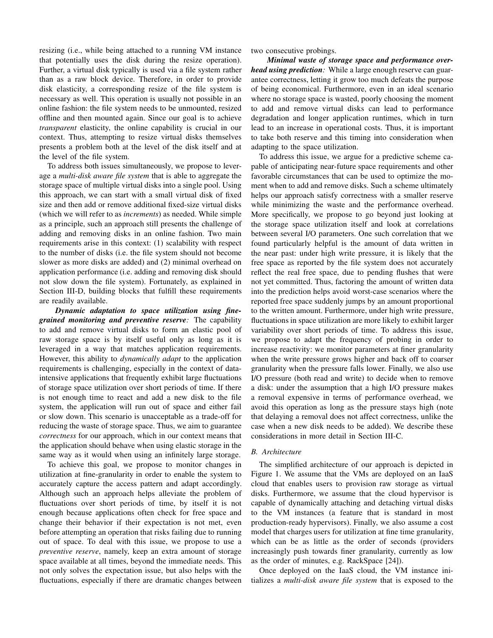resizing (i.e., while being attached to a running VM instance that potentially uses the disk during the resize operation). Further, a virtual disk typically is used via a file system rather than as a raw block device. Therefore, in order to provide disk elasticity, a corresponding resize of the file system is necessary as well. This operation is usually not possible in an online fashion: the file system needs to be unmounted, resized offline and then mounted again. Since our goal is to achieve *transparent* elasticity, the online capability is crucial in our context. Thus, attempting to resize virtual disks themselves presents a problem both at the level of the disk itself and at the level of the file system.

To address both issues simultaneously, we propose to leverage a *multi-disk aware file system* that is able to aggregate the storage space of multiple virtual disks into a single pool. Using this approach, we can start with a small virtual disk of fixed size and then add or remove additional fixed-size virtual disks (which we will refer to as *increments*) as needed. While simple as a principle, such an approach still presents the challenge of adding and removing disks in an online fashion. Two main requirements arise in this context: (1) scalability with respect to the number of disks (i.e. the file system should not become slower as more disks are added) and (2) minimal overhead on application performance (i.e. adding and removing disk should not slow down the file system). Fortunately, as explained in Section III-D, building blocks that fulfill these requirements are readily available.

*Dynamic adaptation to space utilization using finegrained monitoring and preventive reserve:* The capability to add and remove virtual disks to form an elastic pool of raw storage space is by itself useful only as long as it is leveraged in a way that matches application requirements. However, this ability to *dynamically adapt* to the application requirements is challenging, especially in the context of dataintensive applications that frequently exhibit large fluctuations of storage space utilization over short periods of time. If there is not enough time to react and add a new disk to the file system, the application will run out of space and either fail or slow down. This scenario is unacceptable as a trade-off for reducing the waste of storage space. Thus, we aim to guarantee *correctness* for our approach, which in our context means that the application should behave when using elastic storage in the same way as it would when using an infinitely large storage.

To achieve this goal, we propose to monitor changes in utilization at fine-granularity in order to enable the system to accurately capture the access pattern and adapt accordingly. Although such an approach helps alleviate the problem of fluctuations over short periods of time, by itself it is not enough because applications often check for free space and change their behavior if their expectation is not met, even before attempting an operation that risks failing due to running out of space. To deal with this issue, we propose to use a *preventive reserve*, namely, keep an extra amount of storage space available at all times, beyond the immediate needs. This not only solves the expectation issue, but also helps with the fluctuations, especially if there are dramatic changes between

two consecutive probings.

*Minimal waste of storage space and performance overhead using prediction:* While a large enough reserve can guarantee correctness, letting it grow too much defeats the purpose of being economical. Furthermore, even in an ideal scenario where no storage space is wasted, poorly choosing the moment to add and remove virtual disks can lead to performance degradation and longer application runtimes, which in turn lead to an increase in operational costs. Thus, it is important to take both reserve and this timing into consideration when adapting to the space utilization.

To address this issue, we argue for a predictive scheme capable of anticipating near-future space requirements and other favorable circumstances that can be used to optimize the moment when to add and remove disks. Such a scheme ultimately helps our approach satisfy correctness with a smaller reserve while minimizing the waste and the performance overhead. More specifically, we propose to go beyond just looking at the storage space utilization itself and look at correlations between several I/O parameters. One such correlation that we found particularly helpful is the amount of data written in the near past: under high write pressure, it is likely that the free space as reported by the file system does not accurately reflect the real free space, due to pending flushes that were not yet committed. Thus, factoring the amount of written data into the prediction helps avoid worst-case scenarios where the reported free space suddenly jumps by an amount proportional to the written amount. Furthermore, under high write pressure, fluctuations in space utilization are more likely to exhibit larger variability over short periods of time. To address this issue, we propose to adapt the frequency of probing in order to increase reactivity: we monitor parameters at finer granularity when the write pressure grows higher and back off to coarser granularity when the pressure falls lower. Finally, we also use I/O pressure (both read and write) to decide when to remove a disk: under the assumption that a high I/O pressure makes a removal expensive in terms of performance overhead, we avoid this operation as long as the pressure stays high (note that delaying a removal does not affect correctness, unlike the case when a new disk needs to be added). We describe these considerations in more detail in Section III-C.

# *B. Architecture*

The simplified architecture of our approach is depicted in Figure 1. We assume that the VMs are deployed on an IaaS cloud that enables users to provision raw storage as virtual disks. Furthermore, we assume that the cloud hypervisor is capable of dynamically attaching and detaching virtual disks to the VM instances (a feature that is standard in most production-ready hypervisors). Finally, we also assume a cost model that charges users for utilization at fine time granularity, which can be as little as the order of seconds (providers increasingly push towards finer granularity, currently as low as the order of minutes, e.g. RackSpace [24]).

Once deployed on the IaaS cloud, the VM instance initializes a *multi-disk aware file system* that is exposed to the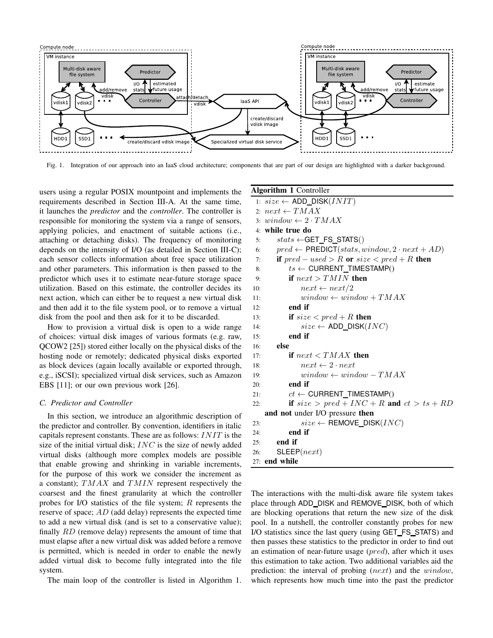

Fig. 1. Integration of our approach into an IaaS cloud architecture; components that are part of our design are highlighted with a darker background.

users using a regular POSIX mountpoint and implements the requirements described in Section III-A. At the same time, it launches the *predictor* and the *controller*. The controller is responsible for monitoring the system via a range of sensors, applying policies, and enactment of suitable actions (i.e., attaching or detaching disks). The frequency of monitoring depends on the intensity of I/O (as detailed in Section III-C); each sensor collects information about free space utilization and other parameters. This information is then passed to the predictor which uses it to estimate near-future storage space utilization. Based on this estimate, the controller decides its next action, which can either be to request a new virtual disk and then add it to the file system pool, or to remove a virtual disk from the pool and then ask for it to be discarded.

How to provision a virtual disk is open to a wide range of choices: virtual disk images of various formats (e.g. raw, QCOW2 [25]) stored either locally on the physical disks of the hosting node or remotely; dedicated physical disks exported as block devices (again locally available or exported through, e.g., iSCSI); specialized virtual disk services, such as Amazon EBS [11]; or our own previous work [26].

# *C. Predictor and Controller*

In this section, we introduce an algorithmic description of the predictor and controller. By convention, identifiers in italic capitals represent constants. These are as follows:  $INT$  is the size of the initial virtual disk;  $INC$  is the size of newly added virtual disks (although more complex models are possible that enable growing and shrinking in variable increments, for the purpose of this work we consider the increment as a constant);  $TMAX$  and  $TMIN$  represent respectively the coarsest and the finest granularity at which the controller probes for I/O statistics of the file system;  $R$  represents the reserve of space; AD (add delay) represents the expected time to add a new virtual disk (and is set to a conservative value); finally RD (remove delay) represents the amount of time that must elapse after a new virtual disk was added before a remove is permitted, which is needed in order to enable the newly added virtual disk to become fully integrated into the file system.

The main loop of the controller is listed in Algorithm 1.

# Algorithm 1 Controller

|     | 1: $size \leftarrow ADD_DISK(INIT)$                                |
|-----|--------------------------------------------------------------------|
|     | 2: $next \leftarrow TMAX$                                          |
|     | 3: $window \leftarrow 2 \cdot TMAX$                                |
|     | 4: while true do                                                   |
| 5:  | $stats \leftarrow$ GET_FS_STATS()                                  |
| 6:  | $pred \leftarrow \text{PREDICT}(stats, window, 2 \cdot next + AD)$ |
| 7:  | if $pred - used > R$ or $size < pred + R$ then                     |
| 8:  | $ts \leftarrow \text{CURRENT\_TIMESTAMP}()$                        |
| 9:  | if $next > TMIN$ then                                              |
| 10: | $next \leftarrow next/2$                                           |
| 11: | $window \leftarrow window + TMAX$                                  |
| 12: | end if                                                             |
| 13: | if $size < pred + R$ then                                          |
| 14: | $size \leftarrow \mathsf{ADD\_DISK}(INC)$                          |
| 15: | end if                                                             |
| 16: | else                                                               |
| 17: | if $next < TMAX$ then                                              |
| 18: | $next \leftarrow 2 \cdot next$                                     |
| 19: | $window \leftarrow window - TMAX$                                  |
| 20: | end if                                                             |
| 21: | $ct \leftarrow$ CURRENT_TIMESTAMP()                                |
| 22: | if size > pred + INC + R and $ct > ts + RD$                        |
|     | and not under I/O pressure then                                    |
| 23: | $size \leftarrow$ REMOVE_DISK( $INC$ )                             |
| 24: | end if                                                             |
|     | end if<br>25:                                                      |
| 26: | SLEEP(next)                                                        |
|     | $27:$ end while                                                    |

The interactions with the multi-disk aware file system takes place through ADD\_DISK and REMOVE\_DISK, both of which are blocking operations that return the new size of the disk pool. In a nutshell, the controller constantly probes for new I/O statistics since the last query (using GET\_FS\_STATS) and then passes these statistics to the predictor in order to find out an estimation of near-future usage (pred), after which it uses this estimation to take action. Two additional variables aid the prediction: the interval of probing (next) and the window, which represents how much time into the past the predictor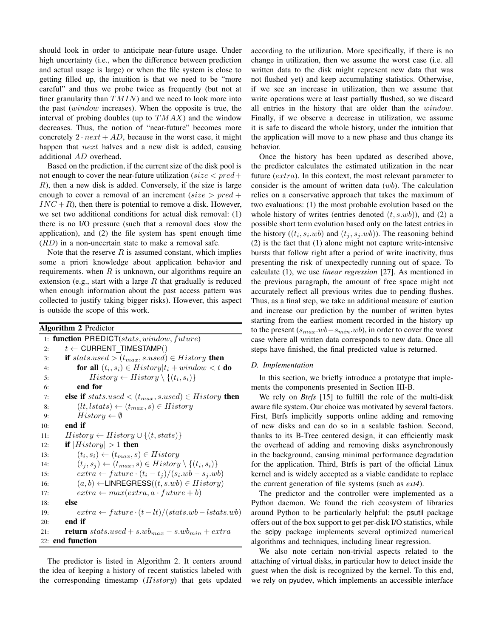should look in order to anticipate near-future usage. Under high uncertainty (i.e., when the difference between prediction and actual usage is large) or when the file system is close to getting filled up, the intuition is that we need to be "more careful" and thus we probe twice as frequently (but not at finer granularity than  $TMIN$ ) and we need to look more into the past (window increases). When the opposite is true, the interval of probing doubles (up to  $TMAX$ ) and the window decreases. Thus, the notion of "near-future" becomes more concretely  $2 \cdot next + AD$ , because in the worst case, it might happen that *next* halves and a new disk is added, causing additional AD overhead.

Based on the prediction, if the current size of the disk pool is not enough to cover the near-future utilization (size  $\lt pred+$  $R$ ), then a new disk is added. Conversely, if the size is large enough to cover a removal of an increment (size  $> pred +$  $INC + R$ ), then there is potential to remove a disk. However, we set two additional conditions for actual disk removal: (1) there is no I/O pressure (such that a removal does slow the application), and (2) the file system has spent enough time  $(RD)$  in a non-uncertain state to make a removal safe.

Note that the reserve  $R$  is assumed constant, which implies some a priori knowledge about application behavior and requirements. when  $R$  is unknown, our algorithms require an extension (e.g., start with a large  $R$  that gradually is reduced when enough information about the past access pattern was collected to justify taking bigger risks). However, this aspect is outside the scope of this work.

| <b>Algorithm 2 Predictor</b>                                                        |  |
|-------------------------------------------------------------------------------------|--|
| 1: function PREDICT(stats, window, future)                                          |  |
| $t \leftarrow$ CURRENT_TIMESTAMP()<br>2:                                            |  |
| if stats.used $>(t_{max}, s. used) \in History$ then<br>3:                          |  |
| for all $(t_i, s_i) \in History   t_i + window < t$ do<br>4:                        |  |
| $History \leftarrow History \setminus \{(t_i, s_i)\}\$<br>5:                        |  |
| end for<br>6:                                                                       |  |
| else if $stats. used < (t_{max}, s. used) \in History$ then<br>7:                   |  |
| $(lt, lstats) \leftarrow (t_{max}, s) \in History$<br>8:                            |  |
| $History \leftarrow \emptyset$<br>9:                                                |  |
| end if<br>10:                                                                       |  |
| $History \leftarrow History \cup \{(t, stats)\}\$<br>11:                            |  |
| if $ History  > 1$ then<br>12:                                                      |  |
| $(t_i, s_i) \leftarrow (t_{max}, s) \in History$<br>13:                             |  |
| $(t_i, s_i) \leftarrow (t_{max}, s) \in History \setminus \{(t_i, s_i)\}\$<br>14:   |  |
| $extra \leftarrow future \cdot (t_i - t_j)/(s_i.wb - s_j.wb)$<br>15:                |  |
| $(a, b) \leftarrow$ LINREGRESS $((t, s.wb) \in History)$<br>16:                     |  |
| $extra \leftarrow max(extra, a \cdot future + b)$<br>17:                            |  |
| else<br>18:                                                                         |  |
| $extra \leftarrow future \cdot (t - lt) / (stats. wb - lstats. wb)$<br>19:          |  |
| end if<br>20:                                                                       |  |
| <b>return</b> stats.used + s.wb <sub>max</sub> - s.wb <sub>min</sub> + extra<br>21: |  |
| 22: end function                                                                    |  |

The predictor is listed in Algorithm 2. It centers around the idea of keeping a history of recent statistics labeled with the corresponding timestamp  $(History)$  that gets updated

according to the utilization. More specifically, if there is no change in utilization, then we assume the worst case (i.e. all written data to the disk might represent new data that was not flushed yet) and keep accumulating statistics. Otherwise, if we see an increase in utilization, then we assume that write operations were at least partially flushed, so we discard all entries in the history that are older than the window. Finally, if we observe a decrease in utilization, we assume it is safe to discard the whole history, under the intuition that the application will move to a new phase and thus change its behavior.

Once the history has been updated as described above, the predictor calculates the estimated utilization in the near future  $(extra)$ . In this context, the most relevant parameter to consider is the amount of written data  $(wb)$ . The calculation relies on a conservative approach that takes the maximum of two evaluations: (1) the most probable evolution based on the whole history of writes (entries denoted  $(t, s.wb)$ ), and (2) a possible short term evolution based only on the latest entries in the history  $((t_i, s_i.wb)$  and  $(t_j, s_j.wb)$ ). The reasoning behind (2) is the fact that (1) alone might not capture write-intensive bursts that follow right after a period of write inactivity, thus presenting the risk of unexpectedly running out of space. To calculate (1), we use *linear regression* [27]. As mentioned in the previous paragraph, the amount of free space might not accurately reflect all previous writes due to pending flushes. Thus, as a final step, we take an additional measure of caution and increase our prediction by the number of written bytes starting from the earliest moment recorded in the history up to the present  $(s_{max}.wb - s_{min}.wb)$ , in order to cover the worst case where all written data corresponds to new data. Once all steps have finished, the final predicted value is returned.

## *D. Implementation*

In this section, we briefly introduce a prototype that implements the components presented in Section III-B.

We rely on *Btrfs* [15] to fulfill the role of the multi-disk aware file system. Our choice was motivated by several factors. First, Btrfs implicitly supports online adding and removing of new disks and can do so in a scalable fashion. Second, thanks to its B-Tree centered design, it can efficiently mask the overhead of adding and removing disks asynchronously in the background, causing minimal performance degradation for the application. Third, Btrfs is part of the official Linux kernel and is widely accepted as a viable candidate to replace the current generation of file systems (such as *ext4*).

The predictor and the controller were implemented as a Python daemon. We found the rich ecosystem of libraries around Python to be particularly helpful: the psutil package offers out of the box support to get per-disk I/O statistics, while the scipy package implements several optimized numerical algorithms and techniques, including linear regression.

We also note certain non-trivial aspects related to the attaching of virtual disks, in particular how to detect inside the guest when the disk is recognized by the kernel. To this end, we rely on pyudev, which implements an accessible interface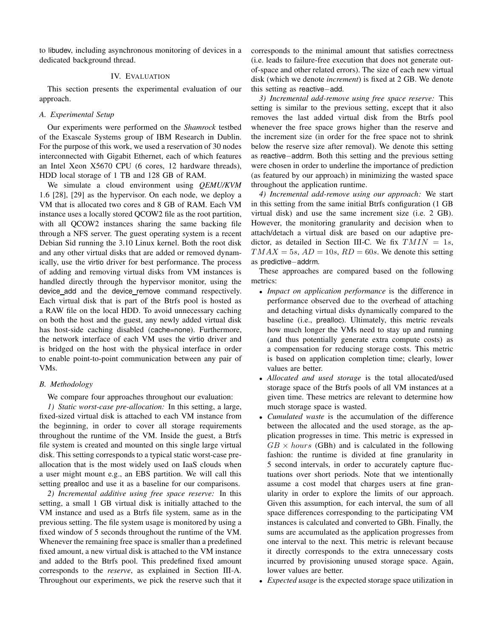to libudev, including asynchronous monitoring of devices in a dedicated background thread.

# IV. EVALUATION

This section presents the experimental evaluation of our approach.

# *A. Experimental Setup*

Our experiments were performed on the *Shamrock* testbed of the Exascale Systems group of IBM Research in Dublin. For the purpose of this work, we used a reservation of 30 nodes interconnected with Gigabit Ethernet, each of which features an Intel Xeon X5670 CPU (6 cores, 12 hardware threads), HDD local storage of 1 TB and 128 GB of RAM.

We simulate a cloud environment using *QEMU/KVM* 1.6 [28], [29] as the hypervisor. On each node, we deploy a VM that is allocated two cores and 8 GB of RAM. Each VM instance uses a locally stored QCOW2 file as the root partition, with all QCOW2 instances sharing the same backing file through a NFS server. The guest operating system is a recent Debian Sid running the 3.10 Linux kernel. Both the root disk and any other virtual disks that are added or removed dynamically, use the virtio driver for best performance. The process of adding and removing virtual disks from VM instances is handled directly through the hypervisor monitor, using the device add and the device remove command respectively. Each virtual disk that is part of the Btrfs pool is hosted as a RAW file on the local HDD. To avoid unnecessary caching on both the host and the guest, any newly added virtual disk has host-side caching disabled (cache=none). Furthermore, the network interface of each VM uses the virtio driver and is bridged on the host with the physical interface in order to enable point-to-point communication between any pair of VMs.

# *B. Methodology*

We compare four approaches throughout our evaluation:

*1) Static worst-case pre-allocation:* In this setting, a large, fixed-sized virtual disk is attached to each VM instance from the beginning, in order to cover all storage requirements throughout the runtime of the VM. Inside the guest, a Btrfs file system is created and mounted on this single large virtual disk. This setting corresponds to a typical static worst-case preallocation that is the most widely used on IaaS clouds when a user might mount e.g., an EBS partition. We will call this setting prealloc and use it as a baseline for our comparisons.

*2) Incremental additive using free space reserve:* In this setting, a small 1 GB virtual disk is initially attached to the VM instance and used as a Btrfs file system, same as in the previous setting. The file system usage is monitored by using a fixed window of 5 seconds throughout the runtime of the VM. Whenever the remaining free space is smaller than a predefined fixed amount, a new virtual disk is attached to the VM instance and added to the Btrfs pool. This predefined fixed amount corresponds to the *reserve*, as explained in Section III-A. Throughout our experiments, we pick the reserve such that it

corresponds to the minimal amount that satisfies correctness (i.e. leads to failure-free execution that does not generate outof-space and other related errors). The size of each new virtual disk (which we denote *increment*) is fixed at 2 GB. We denote this setting as reactive−add.

*3) Incremental add-remove using free space reserve:* This setting is similar to the previous setting, except that it also removes the last added virtual disk from the Btrfs pool whenever the free space grows higher than the reserve and the increment size (in order for the free space not to shrink below the reserve size after removal). We denote this setting as reactive−addrm. Both this setting and the previous setting were chosen in order to underline the importance of prediction (as featured by our approach) in minimizing the wasted space throughout the application runtime.

*4) Incremental add-remove using our approach:* We start in this setting from the same initial Btrfs configuration (1 GB virtual disk) and use the same increment size (i.e. 2 GB). However, the monitoring granularity and decision when to attach/detach a virtual disk are based on our adaptive predictor, as detailed in Section III-C. We fix  $TMIN = 1s$ ,  $TMAX = 5s$ ,  $AD = 10s$ ,  $RD = 60s$ . We denote this setting as predictive−addrm.

These approaches are compared based on the following metrics:

- *Impact on application performance* is the difference in performance observed due to the overhead of attaching and detaching virtual disks dynamically compared to the baseline (i.e., prealloc). Ultimately, this metric reveals how much longer the VMs need to stay up and running (and thus potentially generate extra compute costs) as a compensation for reducing storage costs. This metric is based on application completion time; clearly, lower values are better.
- *Allocated and used storage* is the total allocated/used storage space of the Btrfs pools of all VM instances at a given time. These metrics are relevant to determine how much storage space is wasted.
- *Cumulated waste* is the accumulation of the difference between the allocated and the used storage, as the application progresses in time. This metric is expressed in  $GB \times hours$  (GBh) and is calculated in the following fashion: the runtime is divided at fine granularity in 5 second intervals, in order to accurately capture fluctuations over short periods. Note that we intentionally assume a cost model that charges users at fine granularity in order to explore the limits of our approach. Given this assumption, for each interval, the sum of all space differences corresponding to the participating VM instances is calculated and converted to GBh. Finally, the sums are accumulated as the application progresses from one interval to the next. This metric is relevant because it directly corresponds to the extra unnecessary costs incurred by provisioning unused storage space. Again, lower values are better.
- *Expected usage* is the expected storage space utilization in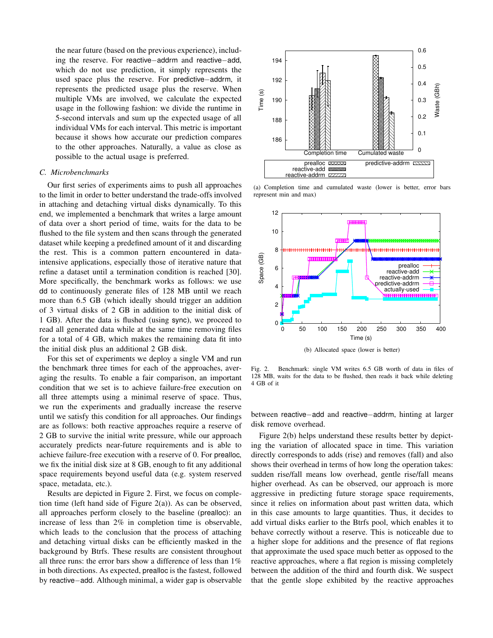the near future (based on the previous experience), including the reserve. For reactive−addrm and reactive−add, which do not use prediction, it simply represents the used space plus the reserve. For predictive−addrm, it represents the predicted usage plus the reserve. When multiple VMs are involved, we calculate the expected usage in the following fashion: we divide the runtime in 5-second intervals and sum up the expected usage of all individual VMs for each interval. This metric is important because it shows how accurate our prediction compares to the other approaches. Naturally, a value as close as possible to the actual usage is preferred.

# *C. Microbenchmarks*

Our first series of experiments aims to push all approaches to the limit in order to better understand the trade-offs involved in attaching and detaching virtual disks dynamically. To this end, we implemented a benchmark that writes a large amount of data over a short period of time, waits for the data to be flushed to the file system and then scans through the generated dataset while keeping a predefined amount of it and discarding the rest. This is a common pattern encountered in dataintensive applications, especially those of iterative nature that refine a dataset until a termination condition is reached [30]. More specifically, the benchmark works as follows: we use dd to continuously generate files of 128 MB until we reach more than 6.5 GB (which ideally should trigger an addition of 3 virtual disks of 2 GB in addition to the initial disk of 1 GB). After the data is flushed (using sync), we proceed to read all generated data while at the same time removing files for a total of 4 GB, which makes the remaining data fit into the initial disk plus an additional 2 GB disk.

For this set of experiments we deploy a single VM and run the benchmark three times for each of the approaches, averaging the results. To enable a fair comparison, an important condition that we set is to achieve failure-free execution on all three attempts using a minimal reserve of space. Thus, we run the experiments and gradually increase the reserve until we satisfy this condition for all approaches. Our findings are as follows: both reactive approaches require a reserve of 2 GB to survive the initial write pressure, while our approach accurately predicts near-future requirements and is able to achieve failure-free execution with a reserve of 0. For prealloc, we fix the initial disk size at 8 GB, enough to fit any additional space requirements beyond useful data (e.g. system reserved space, metadata, etc.).

Results are depicted in Figure 2. First, we focus on completion time (left hand side of Figure  $2(a)$ ). As can be observed, all approaches perform closely to the baseline (prealloc): an increase of less than 2% in completion time is observable, which leads to the conclusion that the process of attaching and detaching virtual disks can be efficiently masked in the background by Btrfs. These results are consistent throughout all three runs: the error bars show a difference of less than 1% in both directions. As expected, prealloc is the fastest, followed by reactive−add. Although minimal, a wider gap is observable



(a) Completion time and cumulated waste (lower is better, error bars represent min and max)



(b) Allocated space (lower is better)

Fig. 2. Benchmark: single VM writes 6.5 GB worth of data in files of 128 MB, waits for the data to be flushed, then reads it back while deleting 4 GB of it

between reactive−add and reactive−addrm, hinting at larger disk remove overhead.

Figure 2(b) helps understand these results better by depicting the variation of allocated space in time. This variation directly corresponds to adds (rise) and removes (fall) and also shows their overhead in terms of how long the operation takes: sudden rise/fall means low overhead, gentle rise/fall means higher overhead. As can be observed, our approach is more aggressive in predicting future storage space requirements, since it relies on information about past written data, which in this case amounts to large quantities. Thus, it decides to add virtual disks earlier to the Btrfs pool, which enables it to behave correctly without a reserve. This is noticeable due to a higher slope for additions and the presence of flat regions that approximate the used space much better as opposed to the reactive approaches, where a flat region is missing completely between the addition of the third and fourth disk. We suspect that the gentle slope exhibited by the reactive approaches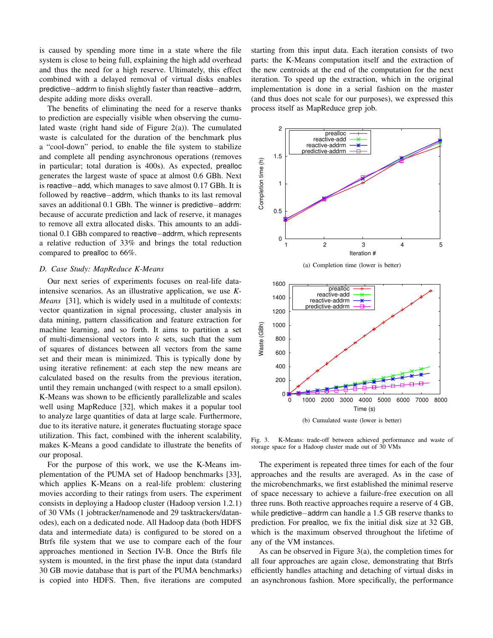is caused by spending more time in a state where the file system is close to being full, explaining the high add overhead and thus the need for a high reserve. Ultimately, this effect combined with a delayed removal of virtual disks enables predictive−addrm to finish slightly faster than reactive−addrm, despite adding more disks overall.

The benefits of eliminating the need for a reserve thanks to prediction are especially visible when observing the cumulated waste (right hand side of Figure  $2(a)$ ). The cumulated waste is calculated for the duration of the benchmark plus a "cool-down" period, to enable the file system to stabilize and complete all pending asynchronous operations (removes in particular; total duration is 400s). As expected, prealloc generates the largest waste of space at almost 0.6 GBh. Next is reactive−add, which manages to save almost 0.17 GBh. It is followed by reactive−addrm, which thanks to its last removal saves an additional 0.1 GBh. The winner is predictive−addrm: because of accurate prediction and lack of reserve, it manages to remove all extra allocated disks. This amounts to an additional 0.1 GBh compared to reactive−addrm, which represents a relative reduction of 33% and brings the total reduction compared to prealloc to 66%.

## *D. Case Study: MapReduce K-Means*

Our next series of experiments focuses on real-life dataintensive scenarios. As an illustrative application, we use *K-Means* [31], which is widely used in a multitude of contexts: vector quantization in signal processing, cluster analysis in data mining, pattern classification and feature extraction for machine learning, and so forth. It aims to partition a set of multi-dimensional vectors into  $k$  sets, such that the sum of squares of distances between all vectors from the same set and their mean is minimized. This is typically done by using iterative refinement: at each step the new means are calculated based on the results from the previous iteration, until they remain unchanged (with respect to a small epsilon). K-Means was shown to be efficiently parallelizable and scales well using MapReduce [32], which makes it a popular tool to analyze large quantities of data at large scale. Furthermore, due to its iterative nature, it generates fluctuating storage space utilization. This fact, combined with the inherent scalability, makes K-Means a good candidate to illustrate the benefits of our proposal.

For the purpose of this work, we use the K-Means implementation of the PUMA set of Hadoop benchmarks [33], which applies K-Means on a real-life problem: clustering movies according to their ratings from users. The experiment consists in deploying a Hadoop cluster (Hadoop version 1.2.1) of 30 VMs (1 jobtracker/namenode and 29 tasktrackers/datanodes), each on a dedicated node. All Hadoop data (both HDFS data and intermediate data) is configured to be stored on a Btrfs file system that we use to compare each of the four approaches mentioned in Section IV-B. Once the Btrfs file system is mounted, in the first phase the input data (standard 30 GB movie database that is part of the PUMA benchmarks) is copied into HDFS. Then, five iterations are computed

starting from this input data. Each iteration consists of two parts: the K-Means computation itself and the extraction of the new centroids at the end of the computation for the next iteration. To speed up the extraction, which in the original implementation is done in a serial fashion on the master (and thus does not scale for our purposes), we expressed this process itself as MapReduce grep job.



Fig. 3. K-Means: trade-off between achieved performance and waste of storage space for a Hadoop cluster made out of 30 VMs

The experiment is repeated three times for each of the four approaches and the results are averaged. As in the case of the microbenchmarks, we first established the minimal reserve of space necessary to achieve a failure-free execution on all three runs. Both reactive approaches require a reserve of 4 GB, while predictive−addrm can handle a 1.5 GB reserve thanks to prediction. For prealloc, we fix the initial disk size at 32 GB, which is the maximum observed throughout the lifetime of any of the VM instances.

As can be observed in Figure 3(a), the completion times for all four approaches are again close, demonstrating that Btrfs efficiently handles attaching and detaching of virtual disks in an asynchronous fashion. More specifically, the performance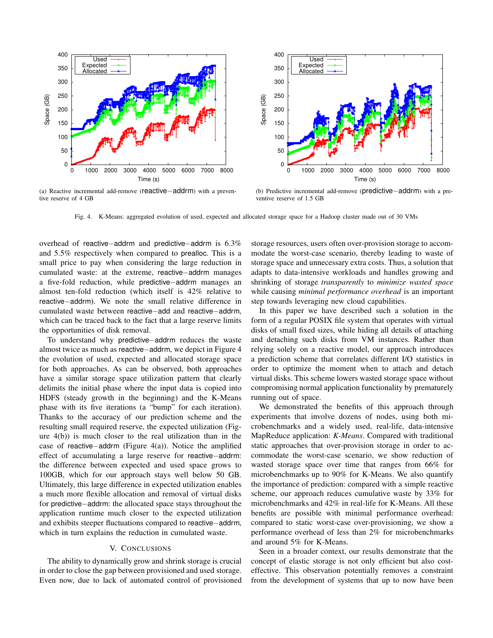

(a) Reactive incremental add-remove (reactive−addrm) with a preventive reserve of 4 GB



(b) Predictive incremental add-remove (predictive−addrm) with a preventive reserve of 1.5 GB

Fig. 4. K-Means: aggregated evolution of used, expected and allocated storage space for a Hadoop cluster made out of 30 VMs

overhead of reactive−addrm and predictive−addrm is 6.3% and 5.5% respectively when compared to prealloc. This is a small price to pay when considering the large reduction in cumulated waste: at the extreme, reactive−addrm manages a five-fold reduction, while predictive−addrm manages an almost ten-fold reduction (which itself is 42% relative to reactive−addrm). We note the small relative difference in cumulated waste between reactive−add and reactive−addrm, which can be traced back to the fact that a large reserve limits the opportunities of disk removal.

To understand why predictive−addrm reduces the waste almost twice as much as reactive−addrm, we depict in Figure 4 the evolution of used, expected and allocated storage space for both approaches. As can be observed, both approaches have a similar storage space utilization pattern that clearly delimits the initial phase where the input data is copied into HDFS (steady growth in the beginning) and the K-Means phase with its five iterations (a "bump" for each iteration). Thanks to the accuracy of our prediction scheme and the resulting small required reserve, the expected utilization (Figure 4(b)) is much closer to the real utilization than in the case of reactive−addrm (Figure 4(a)). Notice the amplified effect of accumulating a large reserve for reactive−addrm: the difference between expected and used space grows to 100GB, which for our approach stays well below 50 GB. Ultimately, this large difference in expected utilization enables a much more flexible allocation and removal of virtual disks for predictive−addrm: the allocated space stays throughout the application runtime much closer to the expected utilization and exhibits steeper fluctuations compared to reactive−addrm, which in turn explains the reduction in cumulated waste.

## V. CONCLUSIONS

The ability to dynamically grow and shrink storage is crucial in order to close the gap between provisioned and used storage. Even now, due to lack of automated control of provisioned

storage resources, users often over-provision storage to accommodate the worst-case scenario, thereby leading to waste of storage space and unnecessary extra costs. Thus, a solution that adapts to data-intensive workloads and handles growing and shrinking of storage *transparently* to *minimize wasted space* while causing *minimal performance overhead* is an important step towards leveraging new cloud capabilities.

In this paper we have described such a solution in the form of a regular POSIX file system that operates with virtual disks of small fixed sizes, while hiding all details of attaching and detaching such disks from VM instances. Rather than relying solely on a reactive model, our approach introduces a prediction scheme that correlates different I/O statistics in order to optimize the moment when to attach and detach virtual disks. This scheme lowers wasted storage space without compromising normal application functionality by prematurely running out of space.

We demonstrated the benefits of this approach through experiments that involve dozens of nodes, using both microbenchmarks and a widely used, real-life, data-intensive MapReduce application: *K-Means*. Compared with traditional static approaches that over-provision storage in order to accommodate the worst-case scenario, we show reduction of wasted storage space over time that ranges from 66% for microbenchmarks up to 90% for K-Means. We also quantify the importance of prediction: compared with a simple reactive scheme, our approach reduces cumulative waste by 33% for microbenchmarks and 42% in real-life for K-Means. All these benefits are possible with minimal performance overhead: compared to static worst-case over-provisioning, we show a performance overhead of less than 2% for microbenchmarks and around 5% for K-Means.

Seen in a broader context, our results demonstrate that the concept of elastic storage is not only efficient but also costeffective. This observation potentially removes a constraint from the development of systems that up to now have been